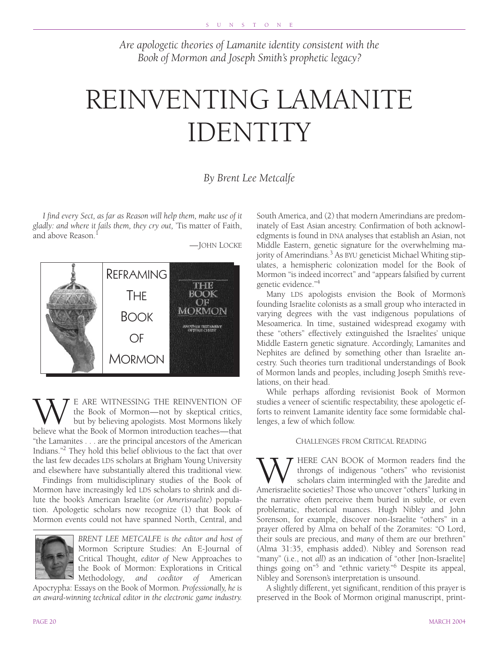*Are apologetic theories of Lamanite identity consistent with the Book of Mormon and Joseph Smith's prophetic legacy?*

# REINVENTING LAMANITE IDENTITY

## *By Brent Lee Metcalfe*

*I find every Sect, as far as Reason will help them, make use of it gladly: and where it fails them, they cry out,* 'Tis matter of Faith, and above Reason $<sup>1</sup>$ </sup>





WE ARE WITNESSING THE REINVENTION OF<br>the Book of Mormon—not by skeptical critics,<br>believe what the Book of Mormon introduction teaches—that the Book of Mormon—not by skeptical critics, but by believing apologists. Most Mormons likely believe what the Book of Mormon introduction teaches—that "the Lamanites . . . are the principal ancestors of the American Indians."2 They hold this belief oblivious to the fact that over the last few decades LDS scholars at Brigham Young University and elsewhere have substantially altered this traditional view.

Findings from multidisciplinary studies of the Book of Mormon have increasingly led LDS scholars to shrink and dilute the book's American Israelite (or *Amerisraelite*) population. Apologetic scholars now recognize (1) that Book of Mormon events could not have spanned North, Central, and



*BRENT LEE METCALFE is the editor and host of* Mormon Scripture Studies: An E-Journal of Critical Thought*, editor of* New Approaches to the Book of Mormon: Explorations in Critical Methodology*, and coeditor of* American

Apocrypha: Essays on the Book of Mormon*. Professionally, he is an award-winning technical editor in the electronic game industry.* South America, and (2) that modern Amerindians are predominately of East Asian ancestry. Confirmation of both acknowledgments is found in DNA analyses that establish an Asian, not Middle Eastern, genetic signature for the overwhelming majority of Amerindians.<sup>3</sup> As BYU geneticist Michael Whiting stipulates, a hemispheric colonization model for the Book of Mormon "is indeed incorrect" and "appears falsified by current genetic evidence."4

Many LDS apologists envision the Book of Mormon's founding Israelite colonists as a small group who interacted in varying degrees with the vast indigenous populations of Mesoamerica. In time, sustained widespread exogamy with these "others" effectively extinguished the Israelites' unique Middle Eastern genetic signature. Accordingly, Lamanites and Nephites are defined by something other than Israelite ancestry. Such theories turn traditional understandings of Book of Mormon lands and peoples, including Joseph Smith's revelations, on their head.

While perhaps affording revisionist Book of Mormon studies a veneer of scientific respectability, these apologetic efforts to reinvent Lamanite identity face some formidable challenges, a few of which follow.

### CHALLENGES FROM CRITICAL READING

W HERE CAN BOOK of Mormon readers find the through through sof indigenous "others" who revisionist scholars claim intermingled with the Jaredite and Amerisraelite societies? Those who uncover "others" lurking in throngs of indigenous "others" who revisionist scholars claim intermingled with the Jaredite and the narrative often perceive them buried in subtle, or even problematic, rhetorical nuances. Hugh Nibley and John Sorenson, for example, discover non-Israelite "others" in a prayer offered by Alma on behalf of the Zoramites: "O Lord, their souls are precious, and *many* of them are our brethren" (Alma 31:35, emphasis added). Nibley and Sorenson read "many" (i.e., not *all*) as an indication of "other [non-Israelite] things going on"5 and "ethnic variety."6 Despite its appeal, Nibley and Sorenson's interpretation is unsound.

A slightly different, yet significant, rendition of this prayer is preserved in the Book of Mormon original manuscript, print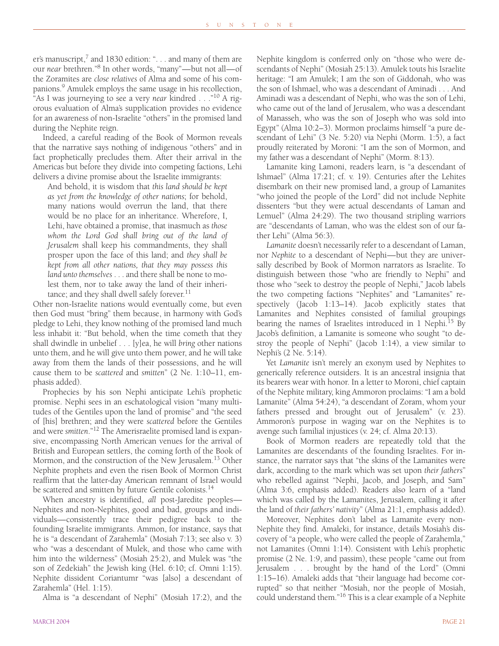er's manuscript,<sup>7</sup> and 1830 edition: "... and many of them are our *near* brethren."8 In other words, "many"—but not all—of the Zoramites are *close relatives* of Alma and some of his companions.<sup>9</sup> Amulek employs the same usage in his recollection, "As I was journeying to see a very *near* kindred . . ."10 A rigorous evaluation of Alma's supplication provides no evidence for an awareness of non-Israelite "others" in the promised land during the Nephite reign.

Indeed, a careful reading of the Book of Mormon reveals that the narrative says nothing of indigenous "others" and in fact prophetically precludes them. After their arrival in the Americas but before they divide into competing factions, Lehi delivers a divine promise about the Israelite immigrants:

And behold, it is wisdom that *this land should be kept as yet from the knowledge of other nations*; for behold, many nations would overrun the land, that there would be no place for an inheritance. Wherefore, I, Lehi, have obtained a promise, that inasmuch as *those whom the Lord God shall bring out of the land of Jerusalem* shall keep his commandments, they shall prosper upon the face of this land; and *they shall be kept from all other nations, that they may possess this land unto themselves* . . . and there shall be none to molest them, nor to take away the land of their inheritance; and they shall dwell safely forever.<sup>11</sup>

Other non-Israelite nations would eventually come, but even then God must "bring" them because, in harmony with God's pledge to Lehi, they know nothing of the promised land much less inhabit it: "But behold, when the time cometh that they shall dwindle in unbelief . . . [y]ea, he will *bring* other nations unto them, and he will give unto them power, and he will take away from them the lands of their possessions, and he will cause them to be *scattered* and *smitten*" (2 Ne. 1:10–11, emphasis added).

Prophecies by his son Nephi anticipate Lehi's prophetic promise. Nephi sees in an eschatological vision "many multitudes of the Gentiles upon the land of promise" and "the seed of [his] brethren; and they were *scattered* before the Gentiles and were *smitten*."12 The Amerisraelite promised land is expansive, encompassing North American venues for the arrival of British and European settlers, the coming forth of the Book of Mormon, and the construction of the New Jerusalem.<sup>13</sup> Other Nephite prophets and even the risen Book of Mormon Christ reaffirm that the latter-day American remnant of Israel would be scattered and smitten by future Gentile colonists.<sup>14</sup>

When ancestry is identified, *all* post-Jaredite peoples— Nephites and non-Nephites, good and bad, groups and individuals—consistently trace their pedigree back to the founding Israelite immigrants. Ammon, for instance, says that he is "a descendant of Zarahemla" (Mosiah 7:13; see also v. 3) who "was a descendant of Mulek, and those who came with him into the wilderness" (Mosiah 25:2), and Mulek was "the son of Zedekiah" the Jewish king (Hel. 6:10; cf. Omni 1:15). Nephite dissident Coriantumr "was [also] a descendant of Zarahemla" (Hel. 1:15).

Alma is "a descendant of Nephi" (Mosiah 17:2), and the

MARCH 2004 PAGE 21

Nephite kingdom is conferred only on "those who were descendants of Nephi" (Mosiah 25:13). Amulek touts his Israelite heritage: "I am Amulek; I am the son of Giddonah, who was the son of Ishmael, who was a descendant of Aminadi . . . And Aminadi was a descendant of Nephi, who was the son of Lehi, who came out of the land of Jerusalem, who was a descendant of Manasseh, who was the son of Joseph who was sold into Egypt" (Alma 10:2–3). Mormon proclaims himself "a pure descendant of Lehi" (3 Ne. 5:20) via Nephi (Morm. 1:5), a fact proudly reiterated by Moroni: "I am the son of Mormon, and my father was a descendant of Nephi" (Morm. 8:13).

Lamanite king Lamoni, readers learn, is "a descendant of Ishmael" (Alma 17:21; cf. v. 19). Centuries after the Lehites disembark on their new promised land, a group of Lamanites "who joined the people of the Lord" did not include Nephite dissenters "but they were actual descendants of Laman and Lemuel" (Alma 24:29). The two thousand stripling warriors are "descendants of Laman, who was the eldest son of our father Lehi" (Alma 56:3).

*Lamanite* doesn't necessarily refer to a descendant of Laman, nor *Nephite* to a descendant of Nephi—but they are universally described by Book of Mormon narrators as Israelite. To distinguish between those "who are friendly to Nephi" and those who "seek to destroy the people of Nephi," Jacob labels the two competing factions "Nephites" and "Lamanites" respectively (Jacob 1:13–14). Jacob explicitly states that Lamanites and Nephites consisted of familial groupings bearing the names of Israelites introduced in 1 Nephi.<sup>15</sup> By Jacob's definition, a Lamanite is someone who sought "to destroy the people of Nephi" (Jacob 1:14), a view similar to Nephi's (2 Ne. 5:14).

Yet *Lamanite* isn't merely an exonym used by Nephites to generically reference outsiders. It is an ancestral insignia that its bearers wear with honor. In a letter to Moroni, chief captain of the Nephite military, king Ammoron proclaims: "I am a bold Lamanite" (Alma 54:24), "a descendant of Zoram, whom your fathers pressed and brought out of Jerusalem" (v. 23). Ammoron's purpose in waging war on the Nephites is to avenge such familial injustices (v. 24; cf. Alma 20:13).

Book of Mormon readers are repeatedly told that the Lamanites are descendants of the founding Israelites. For instance, the narrator says that "the skins of the Lamanites were dark, according to the mark which was set upon *their fathers*" who rebelled against "Nephi, Jacob, and Joseph, and Sam" (Alma 3:6, emphasis added). Readers also learn of a "land which was called by the Lamanites, Jerusalem, calling it after the land of *their fathers' nativity*" (Alma 21:1, emphasis added).

Moreover, Nephites don't label as Lamanite every non-Nephite they find. Amaleki, for instance, details Mosiah's discovery of "a people, who were called the people of Zarahemla," not Lamanites (Omni 1:14). Consistent with Lehi's prophetic promise (2 Ne. 1:9, and passim), these people "came out from Jerusalem . . . brought by the hand of the Lord" (Omni 1:15–16). Amaleki adds that "their language had become corrupted" so that neither "Mosiah, nor the people of Mosiah, could understand them."16 This is a clear example of a Nephite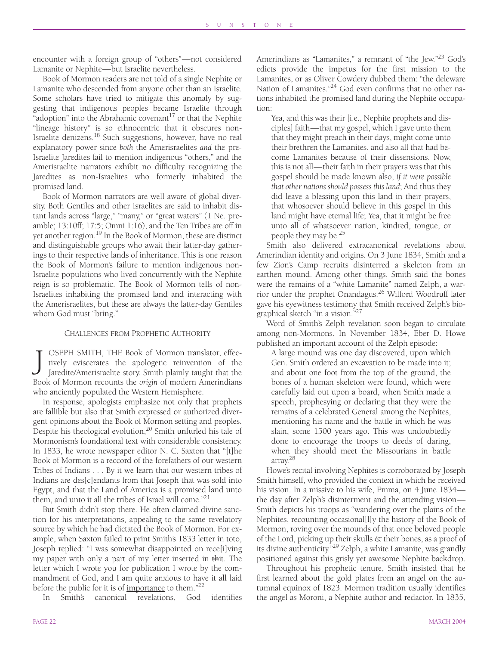encounter with a foreign group of "others"—not considered Lamanite or Nephite—but Israelite nevertheless.

Book of Mormon readers are not told of a single Nephite or Lamanite who descended from anyone other than an Israelite. Some scholars have tried to mitigate this anomaly by suggesting that indigenous peoples became Israelite through "adoption" into the Abrahamic covenant<sup>17</sup> or that the Nephite "lineage history" is so ethnocentric that it obscures non-Israelite denizens.<sup>18</sup> Such suggestions, however, have no real explanatory power since *both* the Amerisraelites *and* the pre-Israelite Jaredites fail to mention indigenous "others," and the Amerisraelite narrators exhibit no difficulty recognizing the Jaredites as non-Israelites who formerly inhabited the promised land.

Book of Mormon narrators are well aware of global diversity. Both Gentiles and other Israelites are said to inhabit distant lands across "large," "many," or "great waters" (1 Ne. preamble; 13:10ff; 17:5; Omni 1:16), and the Ten Tribes are off in yet another region.<sup>19</sup> In the Book of Mormon, these are distinct and distinguishable groups who await their latter-day gatherings to their respective lands of inheritance. This is one reason the Book of Mormon's failure to mention indigenous non-Israelite populations who lived concurrently with the Nephite reign is so problematic. The Book of Mormon tells of non-Israelites inhabiting the promised land and interacting with the Amerisraelites, but these are always the latter-day Gentiles whom God must "bring."

#### CHALLENGES FROM PROPHETIC AUTHORITY

OSEPH SMITH, THE Book of Mormon translator, effectively eviscerates the apologetic reinvention of the Jaredite/Amerisraelite story. Smith plainly taught that the Book of Mormon recounts the *origin* of modern Amerindians who anciently populated the Western Hemisphere. J

In response, apologists emphasize not only that prophets are fallible but also that Smith expressed or authorized divergent opinions about the Book of Mormon setting and peoples. Despite his theological evolution, $20$  Smith unfurled his tale of Mormonism's foundational text with considerable consistency. In 1833, he wrote newspaper editor N. C. Saxton that "[t]he Book of Mormon is a reccord of the forefathers of our western Tribes of Indians . . . By it we learn that our western tribes of Indians are des[c]endants from that Joseph that was sold into Egypt, and that the Land of America is a promised land unto them, and unto it all the tribes of Israel will come."<sup>21</sup>

But Smith didn't stop there. He often claimed divine sanction for his interpretations, appealing to the same revelatory source by which he had dictated the Book of Mormon. For example, when Saxton failed to print Smith's 1833 letter in toto, Joseph replied: "I was somewhat disappointed on rece[i]ving my paper with only a part of my letter inserted in thit. The letter which I wrote you for publication I wrote by the commandment of God, and I am quite anxious to have it all laid before the public for it is of <u>importance</u> to them."<sup>22</sup>

In Smith's canonical revelations, God identifies

Amerindians as "Lamanites," a remnant of "the Jew."<sup>23</sup> God's edicts provide the impetus for the first mission to the Lamanites, or as Oliver Cowdery dubbed them: "the deleware Nation of Lamanites."<sup>24</sup> God even confirms that no other nations inhabited the promised land during the Nephite occupation:

Yea, and this was their [i.e., Nephite prophets and disciples] faith—that my gospel, which I gave unto them that they might preach in their days, might come unto their brethren the Lamanites, and also all that had become Lamanites because of their dissensions. Now, this is not all—their faith in their prayers was that this gospel should be made known also, *if it were possible that other nations should possess this land*; And thus they did leave a blessing upon this land in their prayers, that whosoever should believe in this gospel in this land might have eternal life; Yea, that it might be free unto all of whatsoever nation, kindred, tongue, or people they may be.25

Smith also delivered extracanonical revelations about Amerindian identity and origins. On 3 June 1834, Smith and a few Zion's Camp recruits disinterred a skeleton from an earthen mound. Among other things, Smith said the bones were the remains of a "white Lamanite" named Zelph, a warrior under the prophet Onandagus.26 Wilford Woodruff later gave his eyewitness testimony that Smith received Zelph's biographical sketch "in a vision."27

Word of Smith's Zelph revelation soon began to circulate among non-Mormons. In November 1834, Eber D. Howe published an important account of the Zelph episode:

A large mound was one day discovered, upon which Gen. Smith ordered an excavation to be made into it; and about one foot from the top of the ground, the bones of a human skeleton were found, which were carefully laid out upon a board, when Smith made a speech, prophesying or declaring that they were the remains of a celebrated General among the Nephites, mentioning his name and the battle in which he was slain, some 1500 years ago. This was undoubtedly done to encourage the troops to deeds of daring, when they should meet the Missourians in battle array.28

Howe's recital involving Nephites is corroborated by Joseph Smith himself, who provided the context in which he received his vision. In a missive to his wife, Emma, on 4 June 1834 the day after Zelph's disinterment and the attending vision— Smith depicts his troops as "wandering over the plains of the Nephites, recounting occasional[l]y the history of the Book of Mormon, roving over the mounds of that once beloved people of the Lord, picking up their skulls & their bones, as a proof of its divine authenticity."29 Zelph, a white Lamanite, was grandly positioned against this grisly yet awesome Nephite backdrop.

Throughout his prophetic tenure, Smith insisted that he first learned about the gold plates from an angel on the autumnal equinox of 1823. Mormon tradition usually identifies the angel as Moroni, a Nephite author and redactor. In 1835,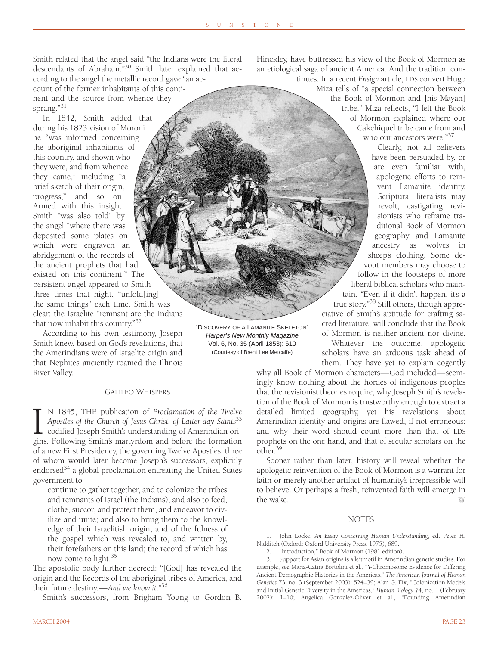Smith related that the angel said "the Indians were the literal descendants of Abraham."30 Smith later explained that according to the angel the metallic record gave "an ac-

count of the former inhabitants of this continent and the source from whence they sprang."31

In 1842, Smith added that during his 1823 vision of Moroni he "was informed concerning the aboriginal inhabitants of this country, and shown who they were, and from whence they came," including "a brief sketch of their origin, progress," and so on. Armed with this insight, Smith "was also told" by the angel "where there was deposited some plates on which were engraven an abridgement of the records of the ancient prophets that had existed on this continent." The persistent angel appeared to Smith three times that night, "unfold[ing] the same things" each time. Smith was clear: the Israelite "remnant are the Indians that now inhabit this country."32

According to his own testimony, Joseph Smith knew, based on God's revelations, that the Amerindians were of Israelite origin and that Nephites anciently roamed the Illinois River Valley.

#### GALILEO WHISPERS

IN 1845, THE publication of *Proclamation of the Twelve Apostles of the Church of Jesus Christ, of Latter-day Saints*<sup>33</sup> codified Joseph Smith's understanding of Amerindian origins. Following Smith's martyrdom and before N 1845, THE publication of *Proclamation of the Twelve Apostles of the Church of Jesus Christ, of Latter-day Saints*<sup>33</sup> codified Joseph Smith's understanding of Amerindian oriof a new First Presidency, the governing Twelve Apostles, three of whom would later become Joseph's successors, explicitly endorsed $34$  a global proclamation entreating the United States government to

continue to gather together, and to colonize the tribes and remnants of Israel (the Indians), and also to feed, clothe, succor, and protect them, and endeavor to civilize and unite; and also to bring them to the knowledge of their Israelitish origin, and of the fulness of the gospel which was revealed to, and written by, their forefathers on this land; the record of which has now come to light.35

The apostolic body further decreed: "[God] has revealed the origin and the Records of the aboriginal tribes of America, and their future destiny.—*And we know it*."36

Smith's successors, from Brigham Young to Gordon B.

"DISCOVERY OF A LAMANITE SKELETON" *Harper's New Monthly Magazine* Vol. 6, No. 35 (April 1853): 610 (Courtesy of Brent Lee Metcalfe)

**Stervi** 

Hinckley, have buttressed his view of the Book of Mormon as an etiological saga of ancient America. And the tradition con-

tinues. In a recent *Ensign* article, LDS convert Hugo Miza tells of "a special connection between the Book of Mormon and [his Mayan] tribe." Miza reflects, "I felt the Book of Mormon explained where our Cakchiquel tribe came from and who our ancestors were."<sup>37</sup>

> Clearly, not all believers have been persuaded by, or are even familiar with, apologetic efforts to reinvent Lamanite identity. Scriptural literalists may revolt, castigating revisionists who reframe traditional Book of Mormon geography and Lamanite ancestry as wolves in sheep's clothing. Some devout members may choose to follow in the footsteps of more liberal biblical scholars who maintain, "Even if it didn't happen, it's a true story."38 Still others, though appre-

ciative of Smith's aptitude for crafting sacred literature, will conclude that the Book of Mormon is neither ancient nor divine.

Whatever the outcome, apologetic scholars have an arduous task ahead of them. They have yet to explain cogently

why all Book of Mormon characters—God included—seemingly know nothing about the hordes of indigenous peoples that the revisionist theories require; why Joseph Smith's revelation of the Book of Mormon is trustworthy enough to extract a detailed limited geography, yet his revelations about Amerindian identity and origins are flawed, if not erroneous; and why their word should count more than that of LDS prophets on the one hand, and that of secular scholars on the  $other<sup>39</sup>$ 

Sooner rather than later, history will reveal whether the apologetic reinvention of the Book of Mormon is a warrant for faith or merely another artifact of humanity's irrepressible will to believe. Or perhaps a fresh, reinvented faith will emerge in the wake. W

#### **NOTES**

1. John Locke, *An Essay Concerning Human Understanding*, ed. Peter H. Nidditch (Oxford: Oxford University Press, 1975), 689.

2. "Introduction," Book of Mormon (1981 edition).

3. Support for Asian origins is a leitmotif in Amerindian genetic studies. For example, see Maria-Catira Bortolini et al., "Y-Chromosome Evidence for Differing Ancient Demographic Histories in the Americas," *The American Journal of Human Genetics* 73, no. 3 (September 2003): 524–39; Alan G. Fix, "Colonization Models and Initial Genetic Diversity in the Americas," *Human Biology* 74, no. 1 (February 2002): 1–10; Angélica González-Oliver et al., "Founding Amerindian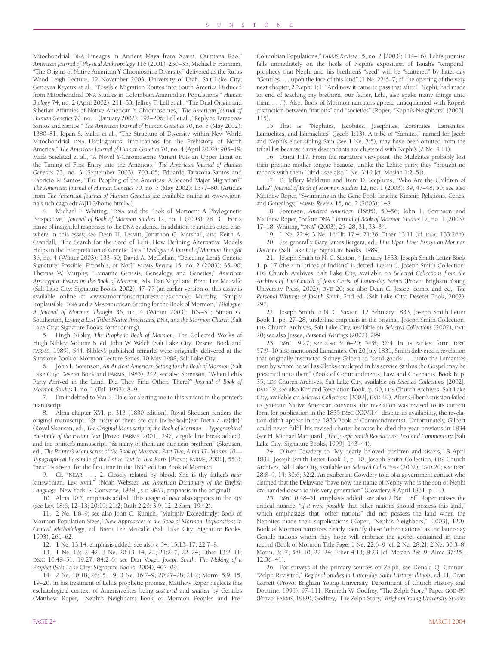Mitochondrial DNA Lineages in Ancient Maya from Xcaret, Quintana Roo," *American Journal of Physical Anthropology* 116 (2001): 230–35; Michael F. Hammer, "The Origins of Native American Y Chromosome Diversity," delivered as the Rufus Wood Leigh Lecture, 12 November 2003, University of Utah, Salt Lake City; Genovea Keyeux et al., "Possible Migration Routes into South America Deduced from Mitochondrial DNA Studies in Colombian Amerindian Populations," *Human Biology* 74, no. 2 (April 2002): 211–33; Jeffrey T. Lell et al., "The Dual Origin and Siberian Affinities of Native American Y Chromosomes," *The American Journal of Human Genetics* 70, no. 1 (January 2002): 192–206; Lell et al., "Reply to Tarazona-Santos and Santos," *The American Journal of Human Genetics* 70, no. 5 (May 2002): 1380–81; Ripan S. Malhi et al., "The Structure of Diversity within New World Mitochondrial DNA Haplogroups: Implications for the Prehistory of North America," *The American Journal of Human Genetics* 70, no. 4 (April 2002): 905–19; Mark Seielstad et al., "A Novel Y-Chromosome Variant Puts an Upper Limit on the Timing of First Entry into the Americas," *The American Journal of Human Genetics* 73, no. 3 (September 2003): 700–05; Eduardo Tarazona-Santos and Fabrício R. Santos, "The Peopling of the Americas: A Second Major Migration?" *The American Journal of Human Genetics* 70, no. 5 (May 2002): 1377–80. (Articles from *The American Journal of Human Genetics* are available online at <www.journals.uchicago.edu/AJHG/home.html>.)

4. Michael F. Whiting, "DNA and the Book of Mormon: A Phylogenetic Perspective," *Journal of Book of Mormon Studies* 12, no. 1 (2003): 28, 31. For a range of insightful responses to the DNA evidence, in addition to articles cited elsewhere in this essay, see Dean H. Leavitt, Jonathon C. Marshall, and Keith A. Crandall, "The Search for the Seed of Lehi: How Defining Alternative Models Helps in the Interpretation of Genetic Data," *Dialogue: A Journal of Mormon Thought* 36, no. 4 (Winter 2003): 133–50; David A. McClellan, "Detecting Lehi's Genetic Signature: Possible, Probable, or Not?" *FARMS Review* 15, no. 2 (2003): 35–90; Thomas W. Murphy, "Lamanite Genesis, Genealogy, and Genetics," *American Apocrypha: Essays on the Book of Mormon*, eds. Dan Vogel and Brent Lee Metcalfe (Salt Lake City: Signature Books, 2002), 47–77 (an earlier version of this essay is available online at <www.mormonscripturestudies.com>); Murphy, "Simply Implausible: DNA and a Mesoamerican Setting for the Book of Mormon," *Dialogue: A Journal of Mormon Thought* 36, no. 4 (Winter 2003): 109–31; Simon G. Southerton, *Losing a Lost Tribe: Native Americans, DNA, and the Mormon Church* (Salt Lake City: Signature Books, forthcoming).

5. Hugh Nibley, *The Prophetic Book of Mormon*, The Collected Works of Hugh Nibley: Volume 8, ed. John W. Welch (Salt Lake City: Deseret Book and FARMS, 1989), 544. Nibley's published remarks were originally delivered at the Sunstone Book of Mormon Lecture Series, 10 May 1988, Salt Lake City.

6. John L. Sorenson, *An Ancient American Setting for the Book of Mormon* (Salt Lake City: Deseret Book and FARMS, 1985), 242; see also Sorenson, "When Lehi's Party Arrived in the Land, Did They Find Others There?" *Journal of Book of Mormon Studies* 1, no. 1 (Fall 1992): 8–9.

7. I'm indebted to Van E. Hale for alerting me to this variant in the printer's manuscript.

8. Alma chapter XVI, p. 313 (1830 edition). Royal Skousen renders the original manuscript, "& many of them are our {r<%e%>|n}ear Breth / -re{r|n}" (Royal Skousen, ed., *The Original Manuscript of the Book of Mormon—Typographical Facsimile of the Extant Text* [Provo: FARMS, 2001], 297, virgule line break added), and the printer's manuscript, "& many of them are our near brethren" (Skousen, ed., *The Printer's Manuscript of the Book of Mormon: Part Two, Alma 17–Moroni 10— Typographical Facsimile of the Entire Text in Two Parts* [Provo: FARMS, 2001], 553); "near" is absent for the first time in the 1837 edition Book of Mormon.

9. Cf. "NEAR . . . 2. Closely related by blood. She is thy father's *near* kinswoman. Lev. xviii." (Noah Webster, *An American Dictionary of the English Language* [New York: S. Converse, 1828], s.v. NEAR, emphasis in the original).

10. Alma 10:7, emphasis added. This usage of *near* also appears in the KJV (see Lev. 18:6, 12–13; 20:19; 21:2; Ruth 2:20; 3:9, 12; 2 Sam. 19:42).

11. 2 Ne. 1:8–9; see also John C. Kunich, "Multiply Exceedingly: Book of Mormon Population Sizes," *New Approaches to the Book of Mormon: Explorations in Critical Methodology*, ed. Brent Lee Metcalfe (Salt Lake City: Signature Books, 1993), 261–62.

12. 1 Ne. 13:14, emphasis added; see also v. 34; 15:13–17; 22:7–8.

13. 1 Ne. 13:12–42; 3 Ne. 20:13–14, 22; 21:2–7, 22–24; Ether 13:2–11; D&C 10:48–51; 19:27; 84:2–5; see Dan Vogel, *Joseph Smith: The Making of a Prophet* (Salt Lake City: Signature Books, 2004), 407–09.

14. 2 Ne. 10:18; 26:15, 19; 3 Ne. 16:7–9; 20:27–28; 21:2; Morm. 5:9, 15, 19–20. In his treatment of Lehi's prophetic promise, Matthew Roper neglects this eschatological context of Amerisraelites being *scattered* and *smitten* by Gentiles (Matthew Roper, "Nephi's Neighbors: Book of Mormon Peoples and PreColumbian Populations," *FARMS Review* 15, no. 2 [2003]: 114–16). Lehi's promise falls immediately on the heels of Nephi's exposition of Isaiah's "temporal" prophecy that Nephi and his brethren's "seed" will be "scattered" by latter-day "Gentiles . . . upon the face of this land" (1 Ne. 22:6–7; cf. the opening of the very next chapter, 2 Nephi 1:1, "And now it came to pass that after I, Nephi, had made an end of teaching my brethren, our father, Lehi, also spake many things unto them . . ."). Also, Book of Mormon narrators appear unacquainted with Roper's distinction between "nations" and "societies" (Roper, "Nephi's Neighbors" [2003], 115).

15. That is, "Nephites, Jacobites, Josephites, Zoramites, Lamanites, Lemuelites, and Ishmaelites" (Jacob 1:13). A tribe of "Samites," named for Jacob and Nephi's elder sibling Sam (see 1 Ne. 2:5), may have been omitted from the tribal list because Sam's descendants are clustered with Nephi's (2 Ne. 4:11).

16. Omni 1:17. From the narrator's viewpoint, the Mulekites probably lost their pristine mother tongue because, unlike the Lehite party, they "brought no records with them" (ibid.; see also 1 Ne. 3:19 [cf. Mosiah 1:2–5]).

17. D. Jeffery Meldrum and Trent D. Stephens, "Who Are the Children of Lehi?" *Journal of Book of Mormon Studies* 12, no. 1 (2003): 39, 47–48, 50; see also Matthew Roper, "Swimming in the Gene Pool: Israelite Kinship Relations, Genes, and Genealogy," *FARMS Review* 15, no. 2 (2003): 148.

18. Sorenson, *Ancient American* (1985), 50–56; John L. Sorenson and Matthew Roper, "Before DNA," *Journal of Book of Mormon Studies* 12, no. 1 (2003): 17–18; Whiting, "DNA" (2003), 25–28, 31, 33–34.

19. 1 Ne. 22:4; 3 Ne. 16:1ff; 17:4; 21:26; Ether 13:11 (cf. D&C 133:26ff). 20. See generally Gary James Bergera, ed., *Line Upon Line: Essays on Mormon Doctrine* (Salt Lake City: Signature Books, 1989).

21. Joseph Smith to N. C. Saxton, 4 January 1833, Joseph Smith Letter Book 1, p. 17 (the *r* in "t*r*ibes of Indians" is dotted like an *i)*, Joseph Smith Collection, LDS Church Archives, Salt Lake City, available on *Selected Collections from the Archives of The Church of Jesus Christ of Latter-day Saints* (Provo: Brigham Young University Press, 2002), DVD 20; see also Dean C. Jessee, comp. and ed., *The Personal Writings of Joseph Smith*, 2nd ed. (Salt Lake City: Deseret Book, 2002), 297.

22. Joseph Smith to N. C. Saxton, 12 February 1833, Joseph Smith Letter Book 1, pp. 27–28, underline emphasis in the original, Joseph Smith Collection, LDS Church Archives, Salt Lake City, available on *Selected Collections* (2002), DVD 20; see also Jessee, *Personal Writings* (2002), 299.

23. D&C 19:27; see also 3:16–20; 54:8; 57:4. In its earliest form, D&C 57:9–10 also mentioned Lamanites. On 20 July 1831, Smith delivered a revelation that originally instructed Sidney Gilbert to "send goods . . . unto the Lamanites even by whom he will as Clerks employed in his service & thus the Gospel may be preached unto them" (Book of Commandments, Law, and Covenants, Book B, p. 35, LDS Church Archives, Salt Lake City, available on *Selected Collections* [2002], DVD 19; see also Kirtland Revelation Book, p. 90, LDS Church Archives, Salt Lake City, available on *Selected Collections* [2002], DVD 19). After Gilbert's mission failed to generate Native American converts, the revelation was revised to its current form for publication in the 1835 D&C (XXVII:4; despite its availability, the revelation didn't appear in the 1833 Book of Commandments). Unfortunately, Gilbert could never fulfill his revised charter because he died the year previous in 1834 (see H. Michael Marquardt, *The Joseph Smith Revelations: Text and Commentary* [Salt Lake City: Signature Books, 1999], 143–44).

24. Oliver Cowdery to "My dearly beloved brethren and sisters," 8 April 1831, Joseph Smith Letter Book 1, p. 10, Joseph Smith Collection, LDS Church Archives, Salt Lake City, available on *Selected Collections* (2002), DVD 20; see D&C 28:8–9, 14; 30:6; 32:2. An exuberant Cowdery told of a government contact who claimed that the Delaware "have now the name of Nephy who is the son of Nephi &c handed down to this very generation" (Cowdery, 8 April 1831, p. 11).

25. D&C10:48–51, emphasis added; see also 2 Ne. 1:8ff. Roper misses the critical nuance, "*if it were possible* that other nations should possess this land," which emphasizes that "other nations" did not possess the land when the Nephites made their supplications (Roper, "Nephi's Neighbors," [2003], 120). Book of Mormon narrators clearly identify these "other nations" as the latter-day Gentile nations whom they hope will embrace the gospel contained in their record (Book of Mormon Title Page; 1 Ne. 22:6–9 [cf. 2 Ne. 28:2]; 2 Ne. 30:3–8; Morm. 3:17; 5:9–10, 22–24; Ether 4:13; 8:23 [cf. Mosiah 28:19; Alma 37:25]; 12:36–41).

26. For surveys of the primary sources on Zelph, see Donald Q. Cannon, "Zelph Revisited," *Regional Studies in Latter-day Saint History: Illinois*, ed. H. Dean Garrett (Provo: Brigham Young University, Department of Church History and Doctrine, 1995), 97–111; Kenneth W. Godfrey, "The Zelph Story," Paper GOD-89 (Provo: FARMS, 1989); Godfrey, "The Zelph Story," *Brigham Young University Studies*